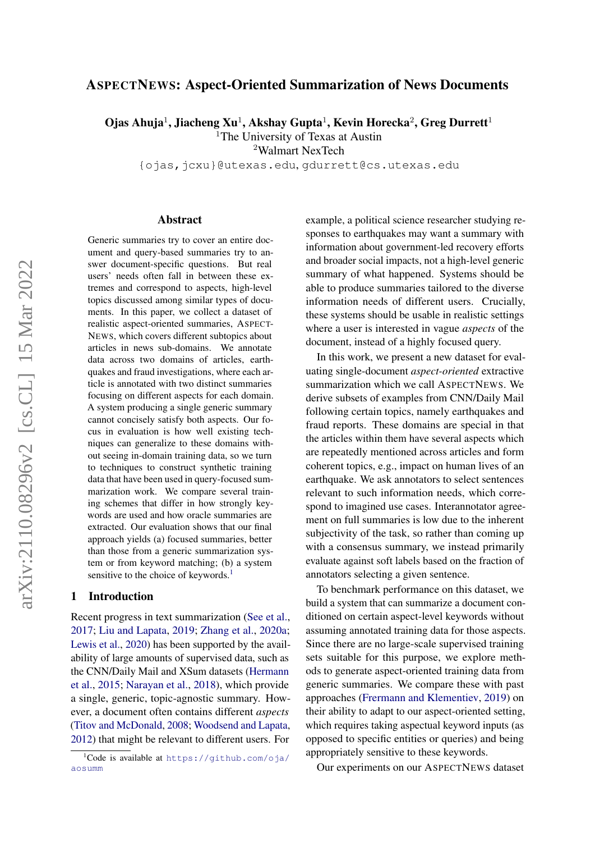# ASPECTNEWS: Aspect-Oriented Summarization of News Documents

Ojas Ahuja<sup>1</sup>, Jiacheng Xu<sup>1</sup>, Akshay Gupta<sup>1</sup>, Kevin Horecka<sup>2</sup>, Greg Durrett<sup>1</sup>

<sup>1</sup>The University of Texas at Austin

<sup>2</sup>Walmart NexTech

{ojas,jcxu}@utexas.edu, gdurrett@cs.utexas.edu

#### Abstract

Generic summaries try to cover an entire document and query-based summaries try to answer document-specific questions. But real users' needs often fall in between these extremes and correspond to aspects, high-level topics discussed among similar types of documents. In this paper, we collect a dataset of realistic aspect-oriented summaries, ASPECT-NEWS, which covers different subtopics about articles in news sub-domains. We annotate data across two domains of articles, earthquakes and fraud investigations, where each article is annotated with two distinct summaries focusing on different aspects for each domain. A system producing a single generic summary cannot concisely satisfy both aspects. Our focus in evaluation is how well existing techniques can generalize to these domains without seeing in-domain training data, so we turn to techniques to construct synthetic training data that have been used in query-focused summarization work. We compare several training schemes that differ in how strongly keywords are used and how oracle summaries are extracted. Our evaluation shows that our final approach yields (a) focused summaries, better than those from a generic summarization system or from keyword matching; (b) a system sensitive to the choice of keywords.<sup>[1](#page-0-0)</sup>

## 1 Introduction

Recent progress in text summarization [\(See et al.,](#page-9-0) [2017;](#page-9-0) [Liu and Lapata,](#page-9-1) [2019;](#page-9-1) [Zhang et al.,](#page-10-0) [2020a;](#page-10-0) [Lewis et al.,](#page-8-0) [2020\)](#page-8-0) has been supported by the availability of large amounts of supervised data, such as the CNN/Daily Mail and XSum datasets [\(Hermann](#page-8-1) [et al.,](#page-8-1) [2015;](#page-8-1) [Narayan et al.,](#page-9-2) [2018\)](#page-9-2), which provide a single, generic, topic-agnostic summary. However, a document often contains different *aspects* [\(Titov and McDonald,](#page-9-3) [2008;](#page-9-3) [Woodsend and Lapata,](#page-9-4) [2012\)](#page-9-4) that might be relevant to different users. For

example, a political science researcher studying responses to earthquakes may want a summary with information about government-led recovery efforts and broader social impacts, not a high-level generic summary of what happened. Systems should be able to produce summaries tailored to the diverse information needs of different users. Crucially, these systems should be usable in realistic settings where a user is interested in vague *aspects* of the document, instead of a highly focused query.

In this work, we present a new dataset for evaluating single-document *aspect-oriented* extractive summarization which we call ASPECTNEWS. We derive subsets of examples from CNN/Daily Mail following certain topics, namely earthquakes and fraud reports. These domains are special in that the articles within them have several aspects which are repeatedly mentioned across articles and form coherent topics, e.g., impact on human lives of an earthquake. We ask annotators to select sentences relevant to such information needs, which correspond to imagined use cases. Interannotator agreement on full summaries is low due to the inherent subjectivity of the task, so rather than coming up with a consensus summary, we instead primarily evaluate against soft labels based on the fraction of annotators selecting a given sentence.

To benchmark performance on this dataset, we build a system that can summarize a document conditioned on certain aspect-level keywords without assuming annotated training data for those aspects. Since there are no large-scale supervised training sets suitable for this purpose, we explore methods to generate aspect-oriented training data from generic summaries. We compare these with past approaches [\(Frermann and Klementiev,](#page-8-2) [2019\)](#page-8-2) on their ability to adapt to our aspect-oriented setting, which requires taking aspectual keyword inputs (as opposed to specific entities or queries) and being appropriately sensitive to these keywords.

Our experiments on our ASPECTNEWS dataset

<span id="page-0-0"></span> $1$ Code is available at [https://github.com/oja/](https://github.com/oja/aosumm) [aosumm](https://github.com/oja/aosumm)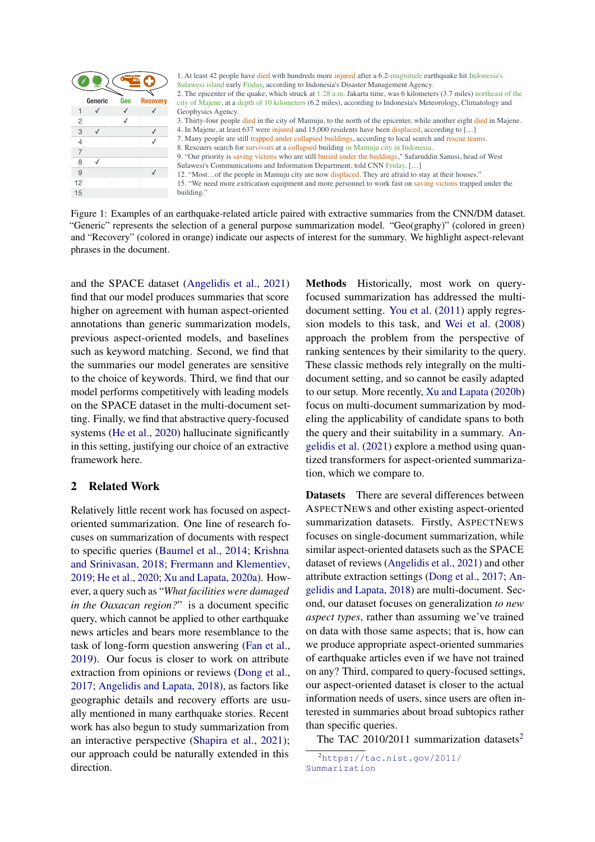<span id="page-1-1"></span>

1. At least 42 people have died with hundreds more injured after a 6.2-magnitude earthquake hit Indonesia's Sulawesi island early Friday, according to Indonesia's Disaster Management Agency. Sulawesi island entry Friday, according to Indonesia's Disaster Management Agency.<br>
2. The epicenter of the quale, which struck at 1:28 a.m. Jakarta time, was 6 kilometers (3.7 miles) northcast of the cording to Indonesia' 2. The epicenter of the quake, which struck at 1:28 a.m. Jakarta time, was 6 kilometers (3.7 miles) northeast of the city of Majene, at a depth of 10 kilometers (6.2 miles), according to Indonesia's Meteorology, Climatology and 9. "Our priority is saving victims who are still buried under the buildings," Safaruddin Sanusi, head of West

15. "We need more extrication equipment and more personnel to work fast on saving victims trapped under the building."

Figure 1: Examples of an earthquake-related article paired with extractive summaries from the CNN/DM dataset. "Generic" represents the selection of a general purpose summarization model. "Geo(graphy)" (colored in green) and "Recovery" (colored in orange) indicate our aspects of interest for the summary. We highlight aspect-relevant phrases in the document.

and the SPACE dataset (Angelidis et al., 2021) find that our model produces summaries that score higher on agreement with human aspect-oriented annotations than generic summarization models, previous aspect-oriented models, and baselines such as keyword matching. Second, we find that the summaries our model generates are sensitive to the choice of keywords. Third, we find that our model performs competitively with leading models on the SPACE dataset in the multi-document setting. Finally, we find that abstractive query-focused systems [\(He et al.,](#page-8-4) [2020\)](#page-8-4) hallucinate significantly in this setting, justifying our choice of an extractive framework here.

## 2 Related Work

Relatively little recent work has focused on aspectoriented summarization. One line of research focuses on summarization of documents with respect to specific queries [\(Baumel et al.,](#page-8-5) [2014;](#page-8-5) [Krishna](#page-8-6) [and Srinivasan,](#page-8-6) [2018;](#page-8-6) [Frermann and Klementiev,](#page-8-2) [2019;](#page-8-2) [He et al.,](#page-8-4) [2020;](#page-8-4) [Xu and Lapata,](#page-9-5) [2020a\)](#page-9-5). However, a query such as "*What facilities were damaged in the Oaxacan region?*" is a document specific query, which cannot be applied to other earthquake news articles and bears more resemblance to the task of long-form question answering [\(Fan et al.,](#page-8-7) [2019\)](#page-8-7). Our focus is closer to work on attribute extraction from opinions or reviews [\(Dong et al.,](#page-8-8) [2017;](#page-8-8) [Angelidis and Lapata,](#page-8-9) [2018\)](#page-8-9), as factors like geographic details and recovery efforts are usually mentioned in many earthquake stories. Recent work has also begun to study summarization from an interactive perspective [\(Shapira et al.,](#page-9-6) [2021\)](#page-9-6); our approach could be naturally extended in this direction.

Geophysics Agency.<br>
Geophysics Agency.<br>
Section Agency, states are accelerated in the city of Mamuja, to the moth of the geiseante, while a<br>mother sign and the SK hards (ASY meet physical Halomatic Bose Based Conservative 3. Thirty-four people died in the city of Mamuju, to the north of the picenter, while another died infolies in the city of Mamuju, to the north of the picenter, the north of the north of the north of the north of the north 4. In Magner, at least 637 were injured in all 300 residents law been displaced, according to  $\sim$  1. The principle and 15,000 residents law between the highest scatter of the state of the state of the state of the State s 7. Many people are still trapped under collapsed buildings, according to best inerate.<br>
In *Romans cases* teams, and internalized buildings in Mondual Syria Signals. In the still still still transfer communication in lati 8. Rescueres and the wearents of the survivors at a subject the survivors at a collapsed building. The matter of the survivors at a collapsed building.<br>
Shows: Communisme and information captures at a collapsed building in Methods Historically, most work on queryfocused summarization has addressed the multidocument setting. You et al. (2011) apply regression models to this task, and Wei et al. (2008) approach the problem from the perspective of ranking sentences by their similarity to the query. These classic methods rely integrally on the multidocument setting, and so cannot be easily adapted to our setup. More recently, Xu and Lapata (2020b) focus on multi-document summarization by modeling the applicability of candidate spans to both the query and their suitability in a summary. Angelidis et al. (2021) explore a method using quantized transformers for aspect-oriented summarization, which we compare to.

Sulawesi's Communication and Information Department of CNN Friday.<sup>1</sup>.1.3 px. and information particular techniques<br>
SUS was the constrained particular particular particular communication and CNN Friday.<br>
The Nivelation of 12. Notes, and the people inherical conservations were also as a disclosure per line in the people in the people in Mamuju city are now displaced. The people in the people in the people in the section of a general purpose Datasets There are several differences between ASPECTNEWS and other existing aspect-oriented summarization datasets. Firstly, ASPECTNEWS focuses on single-document summarization, while similar aspect-oriented datasets such as the SPACE dataset of reviews (Angelidis et al., 2021) and other attribute extraction settings (Dong et al., 2017; An[gelidis and Lapata,](#page-8-9) 2018) are multi-document. Second, our dataset focuses on generalization *to new aspect types*, rather than assuming we've trained on data with those same aspects; that is, how can we produce appropriate aspect-oriented summaries of earthquake articles even if we have not trained on any? Third, compared to query-focused settings, our aspect-oriented dataset is closer to the actual information needs of users, since users are often interested in summaries about broad subtopics rather than specific queries.

The TAC 2010/2011 summarization datasets<sup>2</sup>

<span id="page-1-0"></span> $<sup>2</sup>$ [https://tac.nist.gov/2011/](https://tac.nist.gov/2011/Summarization)</sup> [Summarization](https://tac.nist.gov/2011/Summarization)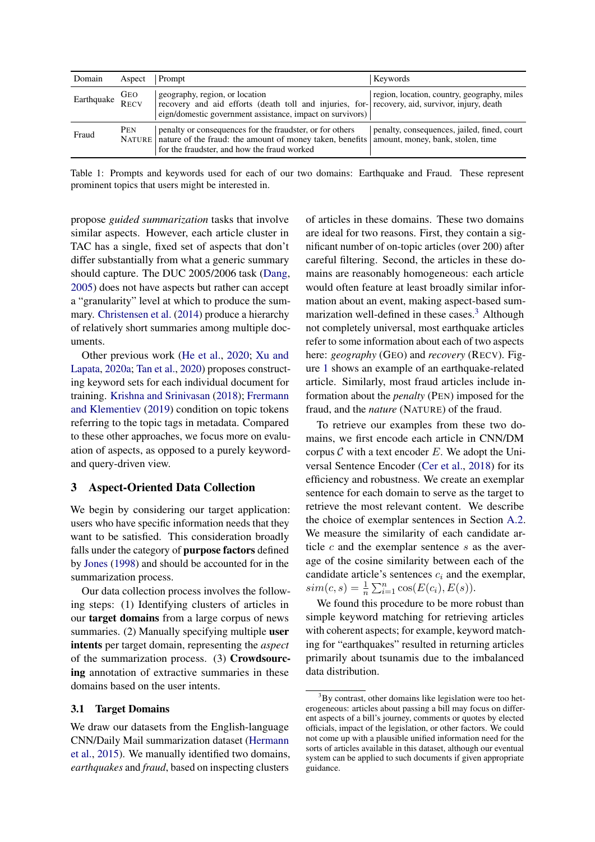<span id="page-2-1"></span>

| Domain                 | Aspect | Prompt                                                                                                                                                                                        | Keywords                                                                         |
|------------------------|--------|-----------------------------------------------------------------------------------------------------------------------------------------------------------------------------------------------|----------------------------------------------------------------------------------|
| Earthquake GEO<br>RECV |        | geography, region, or location<br>recovery and aid efforts (death toll and injuries, for- recovery, aid, survivor, injury, death<br>eign/domestic government assistance, impact on survivors) | region, location, country, geography, miles                                      |
| Fraud                  | PEN    | penalty or consequences for the fraudster, or for others<br>NATURE nature of the fraud: the amount of money taken, benefits<br>for the fraudster, and how the fraud worked                    | penalty, consequences, jailed, fined, court<br>amount, money, bank, stolen, time |

Table 1: Prompts and keywords used for each of our two domains: Earthquake and Fraud. These represent prominent topics that users might be interested in.

propose *guided summarization* tasks that involve similar aspects. However, each article cluster in TAC has a single, fixed set of aspects that don't differ substantially from what a generic summary should capture. The DUC 2005/2006 task [\(Dang,](#page-8-10) [2005\)](#page-8-10) does not have aspects but rather can accept a "granularity" level at which to produce the summary. [Christensen et al.](#page-8-11) [\(2014\)](#page-8-11) produce a hierarchy of relatively short summaries among multiple documents.

Other previous work [\(He et al.,](#page-8-4) [2020;](#page-8-4) [Xu and](#page-9-5) [Lapata,](#page-9-5) [2020a;](#page-9-5) [Tan et al.,](#page-9-10) [2020\)](#page-9-10) proposes constructing keyword sets for each individual document for training. [Krishna and Srinivasan](#page-8-6) [\(2018\)](#page-8-6); [Frermann](#page-8-2) [and Klementiev](#page-8-2) [\(2019\)](#page-8-2) condition on topic tokens referring to the topic tags in metadata. Compared to these other approaches, we focus more on evaluation of aspects, as opposed to a purely keywordand query-driven view.

### 3 Aspect-Oriented Data Collection

We begin by considering our target application: users who have specific information needs that they want to be satisfied. This consideration broadly falls under the category of purpose factors defined by [Jones](#page-8-12) [\(1998\)](#page-8-12) and should be accounted for in the summarization process.

Our data collection process involves the following steps: (1) Identifying clusters of articles in our target domains from a large corpus of news summaries. (2) Manually specifying multiple user intents per target domain, representing the *aspect* of the summarization process. (3) Crowdsourcing annotation of extractive summaries in these domains based on the user intents.

#### 3.1 Target Domains

We draw our datasets from the English-language CNN/Daily Mail summarization dataset [\(Hermann](#page-8-1) [et al.,](#page-8-1) [2015\)](#page-8-1). We manually identified two domains, *earthquakes* and *fraud*, based on inspecting clusters of articles in these domains. These two domains are ideal for two reasons. First, they contain a significant number of on-topic articles (over 200) after careful filtering. Second, the articles in these domains are reasonably homogeneous: each article would often feature at least broadly similar information about an event, making aspect-based summarization well-defined in these cases. $3$  Although not completely universal, most earthquake articles refer to some information about each of two aspects here: *geography* (GEO) and *recovery* (RECV). Figure [1](#page-1-1) shows an example of an earthquake-related article. Similarly, most fraud articles include information about the *penalty* (PEN) imposed for the fraud, and the *nature* (NATURE) of the fraud.

To retrieve our examples from these two domains, we first encode each article in CNN/DM corpus  $C$  with a text encoder  $E$ . We adopt the Universal Sentence Encoder [\(Cer et al.,](#page-8-13) [2018\)](#page-8-13) for its efficiency and robustness. We create an exemplar sentence for each domain to serve as the target to retrieve the most relevant content. We describe the choice of exemplar sentences in Section [A.2.](#page-11-0) We measure the similarity of each candidate article  $c$  and the exemplar sentence  $s$  as the average of the cosine similarity between each of the candidate article's sentences  $c_i$  and the exemplar,  $sim(c, s) = \frac{1}{n} \sum_{i=1}^{n} cos(E(c_i), E(s)).$ 

We found this procedure to be more robust than simple keyword matching for retrieving articles with coherent aspects; for example, keyword matching for "earthquakes" resulted in returning articles primarily about tsunamis due to the imbalanced data distribution.

<span id="page-2-0"></span><sup>&</sup>lt;sup>3</sup>By contrast, other domains like legislation were too heterogeneous: articles about passing a bill may focus on different aspects of a bill's journey, comments or quotes by elected officials, impact of the legislation, or other factors. We could not come up with a plausible unified information need for the sorts of articles available in this dataset, although our eventual system can be applied to such documents if given appropriate guidance.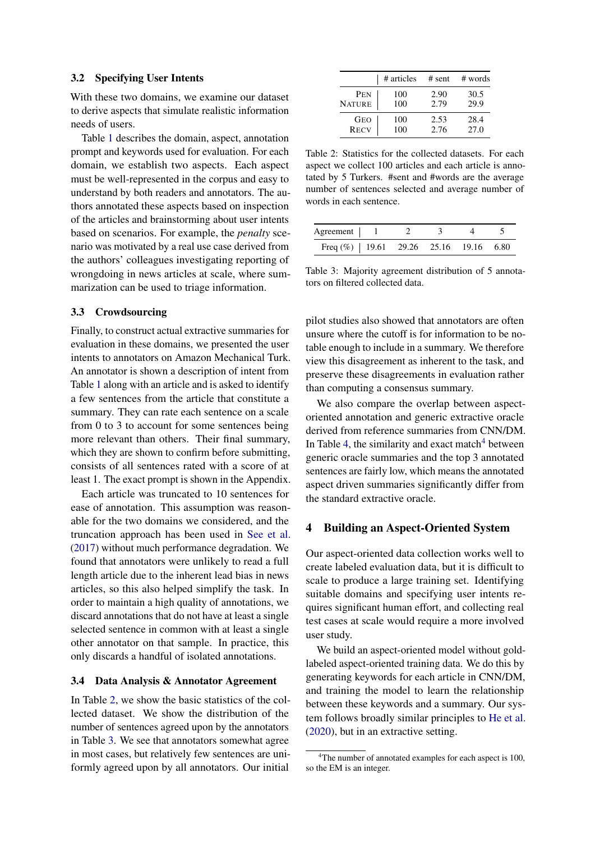#### 3.2 Specifying User Intents

With these two domains, we examine our dataset to derive aspects that simulate realistic information needs of users.

Table [1](#page-2-1) describes the domain, aspect, annotation prompt and keywords used for evaluation. For each domain, we establish two aspects. Each aspect must be well-represented in the corpus and easy to understand by both readers and annotators. The authors annotated these aspects based on inspection of the articles and brainstorming about user intents based on scenarios. For example, the *penalty* scenario was motivated by a real use case derived from the authors' colleagues investigating reporting of wrongdoing in news articles at scale, where summarization can be used to triage information.

#### 3.3 Crowdsourcing

Finally, to construct actual extractive summaries for evaluation in these domains, we presented the user intents to annotators on Amazon Mechanical Turk. An annotator is shown a description of intent from Table [1](#page-2-1) along with an article and is asked to identify a few sentences from the article that constitute a summary. They can rate each sentence on a scale from 0 to 3 to account for some sentences being more relevant than others. Their final summary, which they are shown to confirm before submitting, consists of all sentences rated with a score of at least 1. The exact prompt is shown in the Appendix.

Each article was truncated to 10 sentences for ease of annotation. This assumption was reasonable for the two domains we considered, and the truncation approach has been used in [See et al.](#page-9-0) [\(2017\)](#page-9-0) without much performance degradation. We found that annotators were unlikely to read a full length article due to the inherent lead bias in news articles, so this also helped simplify the task. In order to maintain a high quality of annotations, we discard annotations that do not have at least a single selected sentence in common with at least a single other annotator on that sample. In practice, this only discards a handful of isolated annotations.

#### 3.4 Data Analysis & Annotator Agreement

In Table [2,](#page-3-0) we show the basic statistics of the collected dataset. We show the distribution of the number of sentences agreed upon by the annotators in Table [3.](#page-3-1) We see that annotators somewhat agree in most cases, but relatively few sentences are uniformly agreed upon by all annotators. Our initial

<span id="page-3-0"></span>

|               | # articles | # sent | # words |
|---------------|------------|--------|---------|
| PEN           | 100        | 2.90   | 30.5    |
| <b>NATURE</b> | 100        | 2.79   | 29.9    |
| <b>GEO</b>    | 100        | 2.53   | 28.4    |
| <b>RECV</b>   | 100        | 2.76   | 27.0    |

Table 2: Statistics for the collected datasets. For each aspect we collect 100 articles and each article is annotated by 5 Turkers. #sent and #words are the average number of sentences selected and average number of words in each sentence.

<span id="page-3-1"></span>

| Agreement   1                              |  |  |  |
|--------------------------------------------|--|--|--|
| Freq $(\%)$   19.61 29.26 25.16 19.16 6.80 |  |  |  |

Table 3: Majority agreement distribution of 5 annotators on filtered collected data.

pilot studies also showed that annotators are often unsure where the cutoff is for information to be notable enough to include in a summary. We therefore view this disagreement as inherent to the task, and preserve these disagreements in evaluation rather than computing a consensus summary.

We also compare the overlap between aspectoriented annotation and generic extractive oracle derived from reference summaries from CNN/DM. In Table [4,](#page-4-0) the similarity and exact match $4$  between generic oracle summaries and the top 3 annotated sentences are fairly low, which means the annotated aspect driven summaries significantly differ from the standard extractive oracle.

## <span id="page-3-3"></span>4 Building an Aspect-Oriented System

Our aspect-oriented data collection works well to create labeled evaluation data, but it is difficult to scale to produce a large training set. Identifying suitable domains and specifying user intents requires significant human effort, and collecting real test cases at scale would require a more involved user study.

We build an aspect-oriented model without goldlabeled aspect-oriented training data. We do this by generating keywords for each article in CNN/DM, and training the model to learn the relationship between these keywords and a summary. Our system follows broadly similar principles to [He et al.](#page-8-4) [\(2020\)](#page-8-4), but in an extractive setting.

<span id="page-3-2"></span><sup>&</sup>lt;sup>4</sup>The number of annotated examples for each aspect is 100, so the EM is an integer.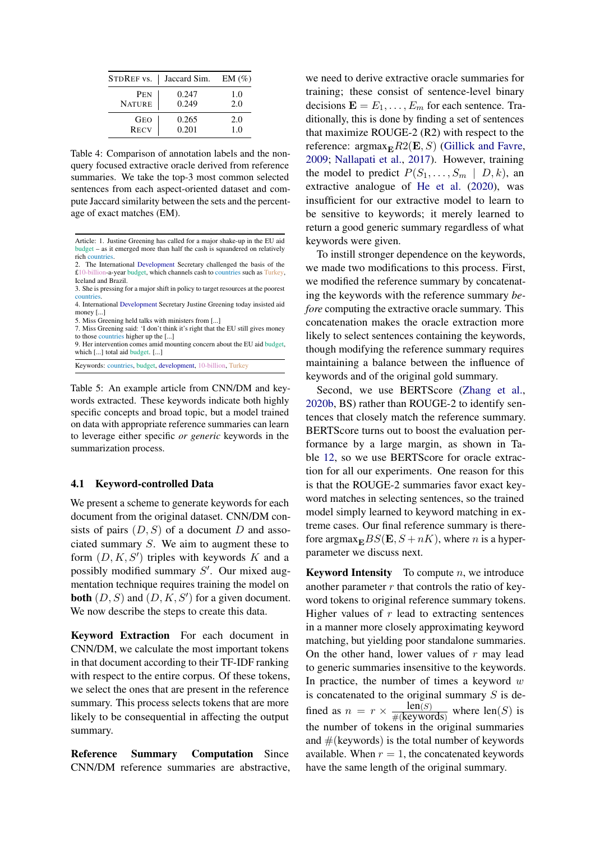<span id="page-4-0"></span>

| STDREF vs.    | Jaccard Sim. | $EM(\%)$ |
|---------------|--------------|----------|
| PEN           | 0.247        | 1.0      |
| <b>NATURE</b> | 0.249        | 2.0      |
| <b>GEO</b>    | 0.265        | 2.0      |
| <b>RECV</b>   | 0.201        | 1.0      |

Table 4: Comparison of annotation labels and the nonquery focused extractive oracle derived from reference summaries. We take the top-3 most common selected sentences from each aspect-oriented dataset and compute Jaccard similarity between the sets and the percentage of exact matches (EM).

2. The International Development Secretary challenged the basis of the £10-billion-a-year budget, which channels cash to countries such as Turkey, Iceland and Brazil.

- countries. 4. International Development Secretary Justine Greening today insisted aid money [...]
- 5. Miss Greening held talks with ministers from [...]

7. Miss Greening said: 'I don't think it's right that the EU still gives money to those countries higher up the [...]

9. Her intervention comes amid mounting concern about the EU aid budget, which [...] total aid budget. [...]

Keywords: countries, budget, development, 10-billion, Turkey

Table 5: An example article from CNN/DM and keywords extracted. These keywords indicate both highly specific concepts and broad topic, but a model trained on data with appropriate reference summaries can learn to leverage either specific *or generic* keywords in the summarization process.

#### 4.1 Keyword-controlled Data

We present a scheme to generate keywords for each document from the original dataset. CNN/DM consists of pairs  $(D, S)$  of a document D and associated summary S. We aim to augment these to form  $(D, K, S')$  triples with keywords K and a possibly modified summary  $S'$ . Our mixed augmentation technique requires training the model on **both**  $(D, S)$  and  $(D, K, S')$  for a given document. We now describe the steps to create this data.

Keyword Extraction For each document in CNN/DM, we calculate the most important tokens in that document according to their TF-IDF ranking with respect to the entire corpus. Of these tokens, we select the ones that are present in the reference summary. This process selects tokens that are more likely to be consequential in affecting the output summary.

Reference Summary Computation Since CNN/DM reference summaries are abstractive, we need to derive extractive oracle summaries for training; these consist of sentence-level binary decisions  $\mathbf{E} = E_1, \dots, E_m$  for each sentence. Traditionally, this is done by finding a set of sentences that maximize ROUGE-2 (R2) with respect to the reference:  $\operatorname{argmax}_{\mathbf{E}} R2(\mathbf{E}, S)$  [\(Gillick and Favre,](#page-8-14) [2009;](#page-8-14) [Nallapati et al.,](#page-9-11) [2017\)](#page-9-11). However, training the model to predict  $P(S_1, \ldots, S_m \mid D, k)$ , an extractive analogue of [He et al.](#page-8-4) [\(2020\)](#page-8-4), was insufficient for our extractive model to learn to be sensitive to keywords; it merely learned to return a good generic summary regardless of what keywords were given.

To instill stronger dependence on the keywords, we made two modifications to this process. First, we modified the reference summary by concatenating the keywords with the reference summary *before* computing the extractive oracle summary. This concatenation makes the oracle extraction more likely to select sentences containing the keywords, though modifying the reference summary requires maintaining a balance between the influence of keywords and of the original gold summary.

Second, we use BERTScore [\(Zhang et al.,](#page-10-1) [2020b,](#page-10-1) BS) rather than ROUGE-2 to identify sentences that closely match the reference summary. BERTScore turns out to boost the evaluation performance by a large margin, as shown in Table [12,](#page-11-1) so we use BERTScore for oracle extraction for all our experiments. One reason for this is that the ROUGE-2 summaries favor exact keyword matches in selecting sentences, so the trained model simply learned to keyword matching in extreme cases. Our final reference summary is therefore argmax $_{\mathbf{E}}BS(\mathbf{E}, S+nK)$ , where *n* is a hyperparameter we discuss next.

**Keyword Intensity** To compute  $n$ , we introduce another parameter  $r$  that controls the ratio of keyword tokens to original reference summary tokens. Higher values of  $r$  lead to extracting sentences in a manner more closely approximating keyword matching, but yielding poor standalone summaries. On the other hand, lower values of  $r$  may lead to generic summaries insensitive to the keywords. In practice, the number of times a keyword  $w$ is concatenated to the original summary  $S$  is defined as  $n = r \times \frac{len(S)}{\#(keywords)}$  where len(S) is  $len(S)$ the number of tokens in the original summaries and  $#$ (keywords) is the total number of keywords available. When  $r = 1$ , the concatenated keywords have the same length of the original summary.

Article: 1. Justine Greening has called for a major shake-up in the EU aid budget – as it emerged more than half the cash is squandered on relatively rich countries.

<sup>3.</sup> She is pressing for a major shift in policy to target resources at the poorest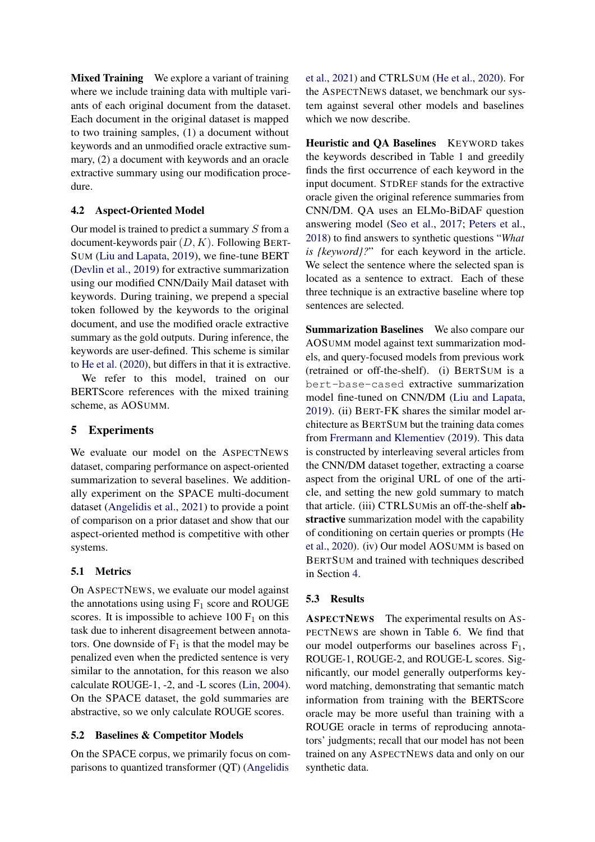Mixed Training We explore a variant of training where we include training data with multiple variants of each original document from the dataset. Each document in the original dataset is mapped to two training samples, (1) a document without keywords and an unmodified oracle extractive summary, (2) a document with keywords and an oracle extractive summary using our modification procedure.

## 4.2 Aspect-Oriented Model

Our model is trained to predict a summary  $S$  from a document-keywords pair  $(D, K)$ . Following BERT-SUM [\(Liu and Lapata,](#page-9-1) [2019\)](#page-9-1), we fine-tune BERT [\(Devlin et al.,](#page-8-15) [2019\)](#page-8-15) for extractive summarization using our modified CNN/Daily Mail dataset with keywords. During training, we prepend a special token followed by the keywords to the original document, and use the modified oracle extractive summary as the gold outputs. During inference, the keywords are user-defined. This scheme is similar to [He et al.](#page-8-4) [\(2020\)](#page-8-4), but differs in that it is extractive.

We refer to this model, trained on our BERTScore references with the mixed training scheme, as AOSUMM.

## 5 Experiments

We evaluate our model on the ASPECTNEWS dataset, comparing performance on aspect-oriented summarization to several baselines. We additionally experiment on the SPACE multi-document dataset [\(Angelidis et al.,](#page-8-3) [2021\)](#page-8-3) to provide a point of comparison on a prior dataset and show that our aspect-oriented method is competitive with other systems.

## 5.1 Metrics

On ASPECTNEWS, we evaluate our model against the annotations using using  $F_1$  score and ROUGE scores. It is impossible to achieve 100  $F_1$  on this task due to inherent disagreement between annotators. One downside of  $F_1$  is that the model may be penalized even when the predicted sentence is very similar to the annotation, for this reason we also calculate ROUGE-1, -2, and -L scores [\(Lin,](#page-9-12) [2004\)](#page-9-12). On the SPACE dataset, the gold summaries are abstractive, so we only calculate ROUGE scores.

#### 5.2 Baselines & Competitor Models

On the SPACE corpus, we primarily focus on comparisons to quantized transformer (QT) [\(Angelidis](#page-8-3)

[et al.,](#page-8-3) [2021\)](#page-8-3) and CTRLSUM [\(He et al.,](#page-8-4) [2020\)](#page-8-4). For the ASPECTNEWS dataset, we benchmark our system against several other models and baselines which we now describe.

Heuristic and QA Baselines KEYWORD takes the keywords described in Table [1](#page-2-1) and greedily finds the first occurrence of each keyword in the input document. STDREF stands for the extractive oracle given the original reference summaries from CNN/DM. QA uses an ELMo-BiDAF question answering model [\(Seo et al.,](#page-9-13) [2017;](#page-9-13) [Peters et al.,](#page-9-14) [2018\)](#page-9-14) to find answers to synthetic questions "*What is {keyword}?*" for each keyword in the article. We select the sentence where the selected span is located as a sentence to extract. Each of these three technique is an extractive baseline where top sentences are selected.

**Summarization Baselines** We also compare our AOSUMM model against text summarization models, and query-focused models from previous work (retrained or off-the-shelf). (i) BERTSUM is a bert-base-cased extractive summarization model fine-tuned on CNN/DM [\(Liu and Lapata,](#page-9-1) [2019\)](#page-9-1). (ii) BERT-FK shares the similar model architecture as BERTSUM but the training data comes from [Frermann and Klementiev](#page-8-2) [\(2019\)](#page-8-2). This data is constructed by interleaving several articles from the CNN/DM dataset together, extracting a coarse aspect from the original URL of one of the article, and setting the new gold summary to match that article. (iii) CTRLSUMis an off-the-shelf abstractive summarization model with the capability of conditioning on certain queries or prompts [\(He](#page-8-4) [et al.,](#page-8-4) [2020\)](#page-8-4). (iv) Our model AOSUMM is based on BERTSUM and trained with techniques described in Section [4.](#page-3-3)

#### 5.3 Results

ASPECTNEWS The experimental results on AS-PECTNEWS are shown in Table [6.](#page-6-0) We find that our model outperforms our baselines across  $F_1$ , ROUGE-1, ROUGE-2, and ROUGE-L scores. Significantly, our model generally outperforms keyword matching, demonstrating that semantic match information from training with the BERTScore oracle may be more useful than training with a ROUGE oracle in terms of reproducing annotators' judgments; recall that our model has not been trained on any ASPECTNEWS data and only on our synthetic data.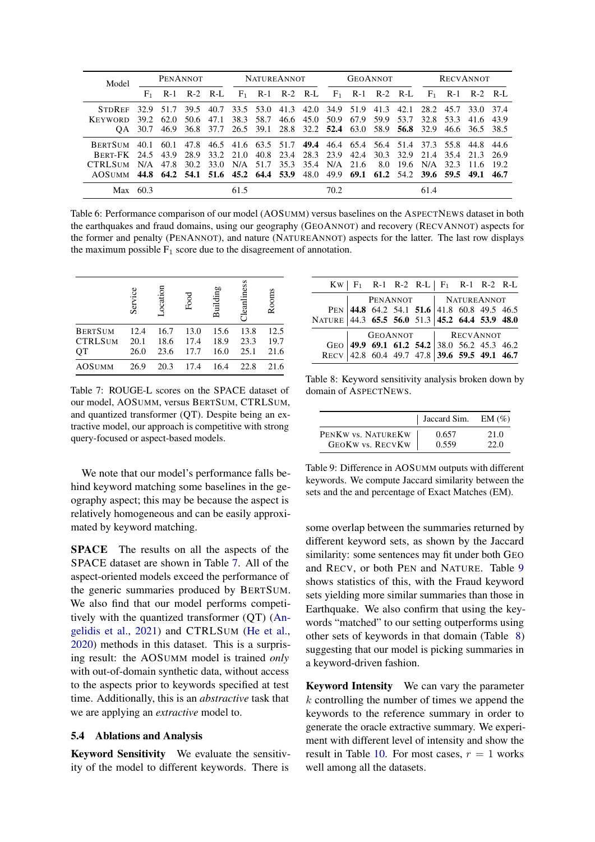<span id="page-6-0"></span>

| Model                                                                             | <b>PENANNOT</b> |                   |      |                | <b>NATUREANNOT</b> |           | <b>GEOANNOT</b> |                                                                       |      | <b>RECVANNOT</b> |      |       |                               |           |                |       |
|-----------------------------------------------------------------------------------|-----------------|-------------------|------|----------------|--------------------|-----------|-----------------|-----------------------------------------------------------------------|------|------------------|------|-------|-------------------------------|-----------|----------------|-------|
|                                                                                   |                 | $F_1$ R-1 R-2 R-L |      |                |                    |           |                 | $F_1$ R-1 R-2 R-L $F_1$ R-1 R-2 R-L $F_1$ R-1 R-2 R-L                 |      |                  |      |       |                               |           |                |       |
| <b>STDREE</b>                                                                     | 32.9            | 51.7              | 39.5 | 40.7           |                    | 33.5 53.0 | 41.3            | 42.O                                                                  | 34.9 | 51.9             | 41.3 |       | 42.1 28.2                     | 45.7      | 33.0 37.4      |       |
| KEYWORD                                                                           | 39.2            | -62.0             | 50.6 | 47.1           | 38.3               | 58.7      | 46.6            | 45.0                                                                  | 50.9 | 67.9             | 59.9 | 53.7  |                               | 32.8 53.3 | 41.6           | 439   |
|                                                                                   | OA 30.7         | 46.9              |      | 36.8 37.7      |                    |           |                 | 26.5 39.1 28.8 32.2 52.4 63.0 58.9 56.8 32.9                          |      |                  |      |       |                               |           | 46.6 36.5 38.5 |       |
| <b>BERTSUM</b>                                                                    | 40.1            | -60.1             |      |                |                    |           |                 | 47.8 46.5 41.6 63.5 51.7 49.4 46.4 65.4 56.4 51.4 37.3 55.8 44.8 44.6 |      |                  |      |       |                               |           |                |       |
| <b>BERT-FK 24.5 43.9</b>                                                          |                 |                   |      | 28.9 33.2 21.0 |                    |           | 40.8 23.4       | 28.3 23.9                                                             |      | 42.4             |      |       | 30.3 32.9 21.4 35.4 21.3 26.9 |           |                |       |
| CTRL SUM                                                                          | N/A             | 47.8              | 30.2 |                | 33.0 N/A           | 51.7      |                 | 35.3 35.4 N/A 21.6                                                    |      |                  | 8.0  | -19.6 | N/A                           | 32.3      | 11.6           | 192   |
| AOSUMM 44.8 64.2 54.1 51.6 45.2 64.4 53.9 48.0 49.9 69.1 61.2 54.2 39.6 59.5 49.1 |                 |                   |      |                |                    |           |                 |                                                                       |      |                  |      |       |                               |           |                | -46.7 |
| $Max$ 60.3                                                                        |                 |                   |      |                | 61.5               |           |                 |                                                                       | 70.2 |                  |      |       | 61.4                          |           |                |       |

Table 6: Performance comparison of our model (AOSUMM) versus baselines on the ASPECTNEWS dataset in both the earthquakes and fraud domains, using our geography (GEOANNOT) and recovery (RECVANNOT) aspects for the former and penalty (PENANNOT), and nature (NATUREANNOT) aspects for the latter. The last row displays the maximum possible  $F_1$  score due to the disagreement of annotation.

<span id="page-6-1"></span>

|                                        | Service              | ocation              | Food                 | Building             | <b>I</b> eanliness   | Rooms                |
|----------------------------------------|----------------------|----------------------|----------------------|----------------------|----------------------|----------------------|
| <b>BERTSUM</b><br><b>CTRLSUM</b><br>QT | 12.4<br>20.1<br>26.0 | 16.7<br>18.6<br>23.6 | 13.0<br>17.4<br>17.7 | 15.6<br>18.9<br>16.0 | 13.8<br>23.3<br>25.1 | 12.5<br>19.7<br>21.6 |
| <b>AOSUMM</b>                          | 26.9                 | 20.3                 | 17.4                 | 16.4                 | 22.8                 | 21.6                 |

Table 7: ROUGE-L scores on the SPACE dataset of our model, AOSUMM, versus BERTSUM, CTRLSUM, and quantized transformer (QT). Despite being an extractive model, our approach is competitive with strong query-focused or aspect-based models.

We note that our model's performance falls behind keyword matching some baselines in the geography aspect; this may be because the aspect is relatively homogeneous and can be easily approximated by keyword matching.

SPACE The results on all the aspects of the SPACE dataset are shown in Table [7.](#page-6-1) All of the aspect-oriented models exceed the performance of the generic summaries produced by BERTSUM. We also find that our model performs competitively with the quantized transformer (QT) [\(An](#page-8-3)[gelidis et al.,](#page-8-3) [2021\)](#page-8-3) and CTRLSUM [\(He et al.,](#page-8-4) [2020\)](#page-8-4) methods in this dataset. This is a surprising result: the AOSUMM model is trained *only* with out-of-domain synthetic data, without access to the aspects prior to keywords specified at test time. Additionally, this is an *abstractive* task that we are applying an *extractive* model to.

#### 5.4 Ablations and Analysis

Keyword Sensitivity We evaluate the sensitivity of the model to different keywords. There is

<span id="page-6-3"></span>

|                                                                                                                          |  |  | $KW \rvert F_1$ R-1 R-2 R-L $\rvert F_1$ R-1 R-2 R-L |  |  |
|--------------------------------------------------------------------------------------------------------------------------|--|--|------------------------------------------------------|--|--|
|                                                                                                                          |  |  |                                                      |  |  |
|                                                                                                                          |  |  |                                                      |  |  |
| PENANNOT PENANNOT PENANNOT PEN<br>44.8 64.2 54.1 51.6 41.8 60.8 49.5 46.5 NATURE 44.3 65.5 56.0 51.3 45.2 64.4 53.9 48.0 |  |  |                                                      |  |  |
|                                                                                                                          |  |  |                                                      |  |  |
|                                                                                                                          |  |  |                                                      |  |  |
| GEO 49.9 69.1 61.2 54.2 8.0 56.2 45.3 46.2<br>RECV 42.8 60.4 49.7 47.8 39.6 59.5 49.1 46.7                               |  |  |                                                      |  |  |

Table 8: Keyword sensitivity analysis broken down by domain of ASPECTNEWS.

<span id="page-6-2"></span>

|                    | Jaccard Sim. EM $(\%)$ |      |
|--------------------|------------------------|------|
| PENKW vs. NATUREKW | 0.657                  | 21.0 |
| GEOKW vs. RECVKW   | 0.559                  | 22.0 |

Table 9: Difference in AOSUMM outputs with different keywords. We compute Jaccard similarity between the sets and the and percentage of Exact Matches (EM).

some overlap between the summaries returned by different keyword sets, as shown by the Jaccard similarity: some sentences may fit under both GEO and RECV, or both PEN and NATURE. Table [9](#page-6-2) shows statistics of this, with the Fraud keyword sets yielding more similar summaries than those in Earthquake. We also confirm that using the keywords "matched" to our setting outperforms using other sets of keywords in that domain (Table [8\)](#page-6-3) suggesting that our model is picking summaries in a keyword-driven fashion.

Keyword Intensity We can vary the parameter k controlling the number of times we append the keywords to the reference summary in order to generate the oracle extractive summary. We experiment with different level of intensity and show the result in Table [10.](#page-7-0) For most cases,  $r = 1$  works well among all the datasets.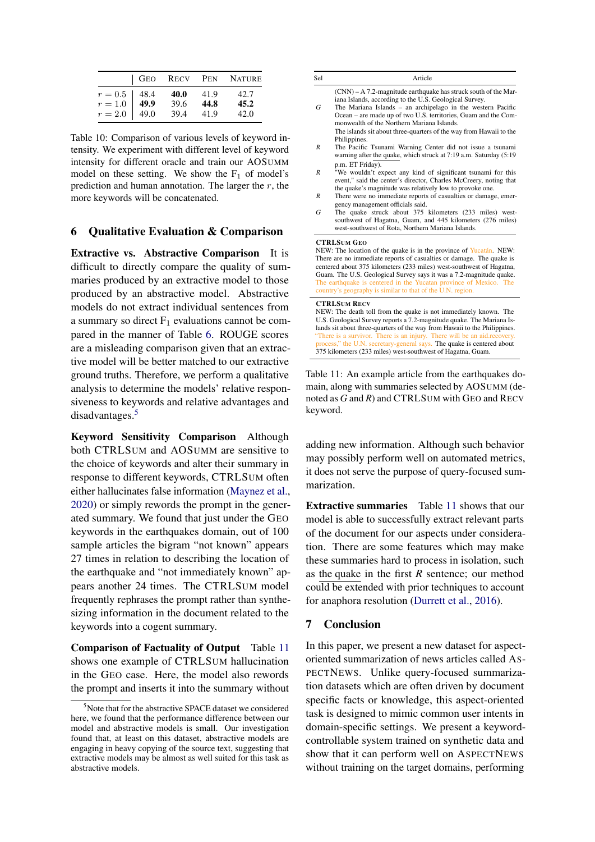<span id="page-7-0"></span>

|                                             |                  |                      |                      | GEO RECV PEN NATURE  |
|---------------------------------------------|------------------|----------------------|----------------------|----------------------|
| $r = 0.5$ 48.4<br>$r = 1.0$ 49.9<br>$r=2.0$ | $\frac{1}{49.0}$ | 40.0<br>39.6<br>39.4 | 41.9<br>44.8<br>41.9 | 42.7<br>45.2<br>42.0 |

Table 10: Comparison of various levels of keyword intensity. We experiment with different level of keyword intensity for different oracle and train our AOSUMM model on these setting. We show the  $F_1$  of model's prediction and human annotation. The larger the  $r$ , the more keywords will be concatenated.

## 6 Qualitative Evaluation & Comparison

Extractive vs. Abstractive Comparison It is difficult to directly compare the quality of summaries produced by an extractive model to those produced by an abstractive model. Abstractive models do not extract individual sentences from a summary so direct  $F_1$  evaluations cannot be compared in the manner of Table [6.](#page-6-0) ROUGE scores are a misleading comparison given that an extractive model will be better matched to our extractive ground truths. Therefore, we perform a qualitative analysis to determine the models' relative responsiveness to keywords and relative advantages and disadvantages.<sup>[5](#page-7-1)</sup>

Keyword Sensitivity Comparison Although both CTRLSUM and AOSUMM are sensitive to the choice of keywords and alter their summary in response to different keywords, CTRLSUM often either hallucinates false information [\(Maynez et al.,](#page-9-15) [2020\)](#page-9-15) or simply rewords the prompt in the generated summary. We found that just under the GEO keywords in the earthquakes domain, out of 100 sample articles the bigram "not known" appears 27 times in relation to describing the location of the earthquake and "not immediately known" appears another 24 times. The CTRLSUM model frequently rephrases the prompt rather than synthesizing information in the document related to the keywords into a cogent summary.

Comparison of Factuality of Output Table [11](#page-7-2) shows one example of CTRLSUM hallucination in the GEO case. Here, the model also rewords the prompt and inserts it into the summary without

<span id="page-7-2"></span>

| Sel              | Article                                                                                                                                                                                                                                                                                                                                                                                                                                            |
|------------------|----------------------------------------------------------------------------------------------------------------------------------------------------------------------------------------------------------------------------------------------------------------------------------------------------------------------------------------------------------------------------------------------------------------------------------------------------|
| G                | $(CNN) - A 7.2$ -magnitude earthquake has struck south of the Mar-<br>iana Islands, according to the U.S. Geological Survey.<br>The Mariana Islands – an archipelago in the western Pacific                                                                                                                                                                                                                                                        |
|                  | Ocean – are made up of two U.S. territories, Guam and the Com-<br>monwealth of the Northern Mariana Islands.                                                                                                                                                                                                                                                                                                                                       |
|                  | The islands sit about three-quarters of the way from Hawaii to the<br>Philippines.                                                                                                                                                                                                                                                                                                                                                                 |
| $\boldsymbol{R}$ | The Pacific Tsunami Warning Center did not issue a tsunami<br>warning after the quake, which struck at 7:19 a.m. Saturday (5:19                                                                                                                                                                                                                                                                                                                    |
| $\boldsymbol{R}$ | p.m. ET Friday).<br>"We wouldn't expect any kind of significant tsunami for this<br>event," said the center's director, Charles McCreery, noting that                                                                                                                                                                                                                                                                                              |
| $\boldsymbol{R}$ | the quake's magnitude was relatively low to provoke one.<br>There were no immediate reports of casualties or damage, emer-<br>gency management officials said.                                                                                                                                                                                                                                                                                     |
| G                | The quake struck about 375 kilometers (233 miles) west-<br>southwest of Hagatna, Guam, and 445 kilometers (276 miles)<br>west-southwest of Rota, Northern Mariana Islands.                                                                                                                                                                                                                                                                         |
|                  | <b>CTRLSUM GEO</b><br>NEW: The location of the quake is in the province of Yucatán. NEW:<br>There are no immediate reports of casualties or damage. The quake is<br>centered about 375 kilometers (233 miles) west-southwest of Hagatna,<br>Guam. The U.S. Geological Survey says it was a 7.2-magnitude quake.<br>The earthquake is centered in the Yucatan province of Mexico. The<br>country's geography is similar to that of the U.N. region. |
|                  | <b>CTRLSUM RECV</b><br>NEW: The death toll from the quake is not immediately known. The<br>U.S. Geological Survey reports a 7.2-magnitude quake. The Mariana Is-<br>lands sit about three-quarters of the way from Hawaii to the Philippines.<br>"There is a survivor. There is an injury. There will be an aid.recovery.<br>process," the U.N. secretary-general says. The quake is centered about                                                |

Table 11: An example article from the earthquakes domain, along with summaries selected by AOSUMM (denoted as *G* and *R*) and CTRLSUM with GEO and RECV keyword.

adding new information. Although such behavior may possibly perform well on automated metrics, it does not serve the purpose of query-focused summarization.

Extractive summaries Table [11](#page-7-2) shows that our model is able to successfully extract relevant parts of the document for our aspects under consideration. There are some features which may make these summaries hard to process in isolation, such as the quake in the first *R* sentence; our method could be extended with prior techniques to account for anaphora resolution [\(Durrett et al.,](#page-8-16) [2016\)](#page-8-16).

#### 7 Conclusion

In this paper, we present a new dataset for aspectoriented summarization of news articles called AS-PECTNEWS. Unlike query-focused summarization datasets which are often driven by document specific facts or knowledge, this aspect-oriented task is designed to mimic common user intents in domain-specific settings. We present a keywordcontrollable system trained on synthetic data and show that it can perform well on ASPECTNEWS without training on the target domains, performing

<span id="page-7-1"></span><sup>&</sup>lt;sup>5</sup>Note that for the abstractive SPACE dataset we considered here, we found that the performance difference between our model and abstractive models is small. Our investigation found that, at least on this dataset, abstractive models are engaging in heavy copying of the source text, suggesting that extractive models may be almost as well suited for this task as abstractive models.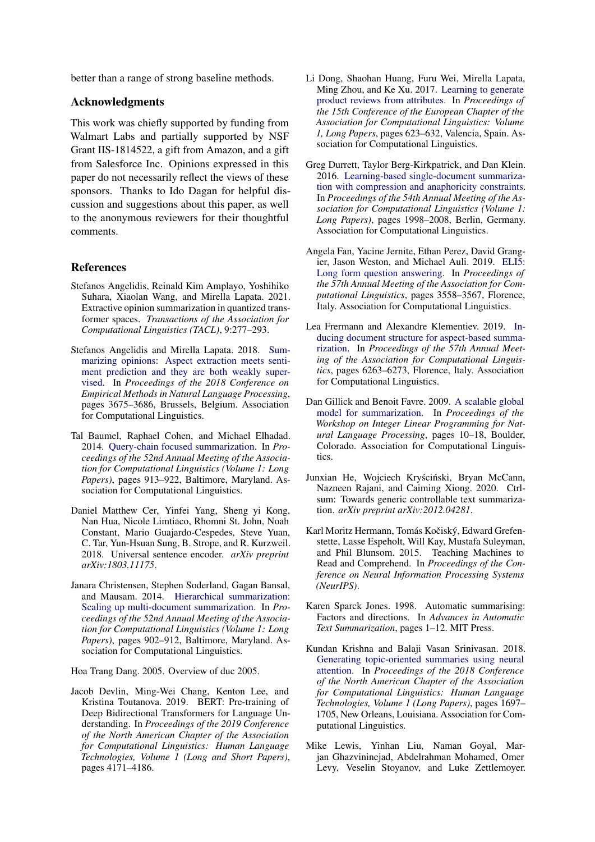better than a range of strong baseline methods.

## Acknowledgments

This work was chiefly supported by funding from Walmart Labs and partially supported by NSF Grant IIS-1814522, a gift from Amazon, and a gift from Salesforce Inc. Opinions expressed in this paper do not necessarily reflect the views of these sponsors. Thanks to Ido Dagan for helpful discussion and suggestions about this paper, as well to the anonymous reviewers for their thoughtful comments.

#### References

- <span id="page-8-3"></span>Stefanos Angelidis, Reinald Kim Amplayo, Yoshihiko Suhara, Xiaolan Wang, and Mirella Lapata. 2021. Extractive opinion summarization in quantized transformer spaces. *Transactions of the Association for Computational Linguistics (TACL)*, 9:277–293.
- <span id="page-8-9"></span>Stefanos Angelidis and Mirella Lapata. 2018. [Sum](https://doi.org/10.18653/v1/D18-1403)[marizing opinions: Aspect extraction meets senti](https://doi.org/10.18653/v1/D18-1403)[ment prediction and they are both weakly super](https://doi.org/10.18653/v1/D18-1403)[vised.](https://doi.org/10.18653/v1/D18-1403) In *Proceedings of the 2018 Conference on Empirical Methods in Natural Language Processing*, pages 3675–3686, Brussels, Belgium. Association for Computational Linguistics.
- <span id="page-8-5"></span>Tal Baumel, Raphael Cohen, and Michael Elhadad. 2014. [Query-chain focused summarization.](https://doi.org/10.3115/v1/P14-1086) In *Proceedings of the 52nd Annual Meeting of the Association for Computational Linguistics (Volume 1: Long Papers)*, pages 913–922, Baltimore, Maryland. Association for Computational Linguistics.
- <span id="page-8-13"></span>Daniel Matthew Cer, Yinfei Yang, Sheng yi Kong, Nan Hua, Nicole Limtiaco, Rhomni St. John, Noah Constant, Mario Guajardo-Cespedes, Steve Yuan, C. Tar, Yun-Hsuan Sung, B. Strope, and R. Kurzweil. 2018. Universal sentence encoder. *arXiv preprint arXiv:1803.11175*.
- <span id="page-8-11"></span>Janara Christensen, Stephen Soderland, Gagan Bansal, and Mausam. 2014. [Hierarchical summarization:](https://doi.org/10.3115/v1/P14-1085) [Scaling up multi-document summarization.](https://doi.org/10.3115/v1/P14-1085) In *Proceedings of the 52nd Annual Meeting of the Association for Computational Linguistics (Volume 1: Long Papers)*, pages 902–912, Baltimore, Maryland. Association for Computational Linguistics.

<span id="page-8-10"></span>Hoa Trang Dang. 2005. Overview of duc 2005.

<span id="page-8-15"></span>Jacob Devlin, Ming-Wei Chang, Kenton Lee, and Kristina Toutanova. 2019. BERT: Pre-training of Deep Bidirectional Transformers for Language Understanding. In *Proceedings of the 2019 Conference of the North American Chapter of the Association for Computational Linguistics: Human Language Technologies, Volume 1 (Long and Short Papers)*, pages 4171–4186.

- <span id="page-8-8"></span>Li Dong, Shaohan Huang, Furu Wei, Mirella Lapata, Ming Zhou, and Ke Xu. 2017. [Learning to generate](https://www.aclweb.org/anthology/E17-1059) [product reviews from attributes.](https://www.aclweb.org/anthology/E17-1059) In *Proceedings of the 15th Conference of the European Chapter of the Association for Computational Linguistics: Volume 1, Long Papers*, pages 623–632, Valencia, Spain. Association for Computational Linguistics.
- <span id="page-8-16"></span>Greg Durrett, Taylor Berg-Kirkpatrick, and Dan Klein. 2016. [Learning-based single-document summariza](https://doi.org/10.18653/v1/P16-1188)[tion with compression and anaphoricity constraints.](https://doi.org/10.18653/v1/P16-1188) In *Proceedings of the 54th Annual Meeting of the Association for Computational Linguistics (Volume 1: Long Papers)*, pages 1998–2008, Berlin, Germany. Association for Computational Linguistics.
- <span id="page-8-7"></span>Angela Fan, Yacine Jernite, Ethan Perez, David Grangier, Jason Weston, and Michael Auli. 2019. [ELI5:](https://doi.org/10.18653/v1/P19-1346) [Long form question answering.](https://doi.org/10.18653/v1/P19-1346) In *Proceedings of the 57th Annual Meeting of the Association for Computational Linguistics*, pages 3558–3567, Florence, Italy. Association for Computational Linguistics.
- <span id="page-8-2"></span>Lea Frermann and Alexandre Klementiev. 2019. [In](https://doi.org/10.18653/v1/P19-1630)[ducing document structure for aspect-based summa](https://doi.org/10.18653/v1/P19-1630)[rization.](https://doi.org/10.18653/v1/P19-1630) In *Proceedings of the 57th Annual Meeting of the Association for Computational Linguistics*, pages 6263–6273, Florence, Italy. Association for Computational Linguistics.
- <span id="page-8-14"></span>Dan Gillick and Benoit Favre. 2009. [A scalable global](https://www.aclweb.org/anthology/W09-1802) [model for summarization.](https://www.aclweb.org/anthology/W09-1802) In *Proceedings of the Workshop on Integer Linear Programming for Natural Language Processing*, pages 10–18, Boulder, Colorado. Association for Computational Linguistics.
- <span id="page-8-4"></span>Junxian He, Wojciech Kryściński, Bryan McCann, Nazneen Rajani, and Caiming Xiong. 2020. Ctrlsum: Towards generic controllable text summarization. *arXiv preprint arXiv:2012.04281*.
- <span id="page-8-1"></span>Karl Moritz Hermann, Tomás Kočiský, Edward Grefenstette, Lasse Espeholt, Will Kay, Mustafa Suleyman, and Phil Blunsom. 2015. Teaching Machines to Read and Comprehend. In *Proceedings of the Conference on Neural Information Processing Systems (NeurIPS)*.
- <span id="page-8-12"></span>Karen Sparck Jones. 1998. Automatic summarising: Factors and directions. In *Advances in Automatic Text Summarization*, pages 1–12. MIT Press.
- <span id="page-8-6"></span>Kundan Krishna and Balaji Vasan Srinivasan. 2018. [Generating topic-oriented summaries using neural](https://doi.org/10.18653/v1/N18-1153) [attention.](https://doi.org/10.18653/v1/N18-1153) In *Proceedings of the 2018 Conference of the North American Chapter of the Association for Computational Linguistics: Human Language Technologies, Volume 1 (Long Papers)*, pages 1697– 1705, New Orleans, Louisiana. Association for Computational Linguistics.
- <span id="page-8-0"></span>Mike Lewis, Yinhan Liu, Naman Goyal, Marjan Ghazvininejad, Abdelrahman Mohamed, Omer Levy, Veselin Stoyanov, and Luke Zettlemoyer.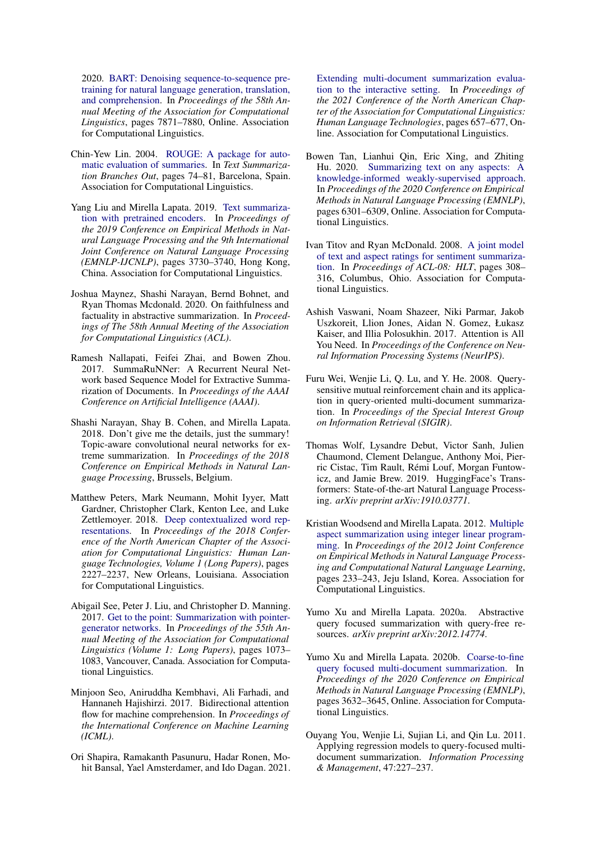2020. [BART: Denoising sequence-to-sequence pre](https://doi.org/10.18653/v1/2020.acl-main.703)[training for natural language generation, translation,](https://doi.org/10.18653/v1/2020.acl-main.703) [and comprehension.](https://doi.org/10.18653/v1/2020.acl-main.703) In *Proceedings of the 58th Annual Meeting of the Association for Computational Linguistics*, pages 7871–7880, Online. Association for Computational Linguistics.

- <span id="page-9-12"></span>Chin-Yew Lin. 2004. [ROUGE: A package for auto](https://www.aclweb.org/anthology/W04-1013)[matic evaluation of summaries.](https://www.aclweb.org/anthology/W04-1013) In *Text Summarization Branches Out*, pages 74–81, Barcelona, Spain. Association for Computational Linguistics.
- <span id="page-9-1"></span>Yang Liu and Mirella Lapata. 2019. [Text summariza](https://doi.org/10.18653/v1/D19-1387)[tion with pretrained encoders.](https://doi.org/10.18653/v1/D19-1387) In *Proceedings of the 2019 Conference on Empirical Methods in Natural Language Processing and the 9th International Joint Conference on Natural Language Processing (EMNLP-IJCNLP)*, pages 3730–3740, Hong Kong, China. Association for Computational Linguistics.
- <span id="page-9-15"></span>Joshua Maynez, Shashi Narayan, Bernd Bohnet, and Ryan Thomas Mcdonald. 2020. On faithfulness and factuality in abstractive summarization. In *Proceedings of The 58th Annual Meeting of the Association for Computational Linguistics (ACL)*.
- <span id="page-9-11"></span>Ramesh Nallapati, Feifei Zhai, and Bowen Zhou. 2017. SummaRuNNer: A Recurrent Neural Network based Sequence Model for Extractive Summarization of Documents. In *Proceedings of the AAAI Conference on Artificial Intelligence (AAAI)*.
- <span id="page-9-2"></span>Shashi Narayan, Shay B. Cohen, and Mirella Lapata. 2018. Don't give me the details, just the summary! Topic-aware convolutional neural networks for extreme summarization. In *Proceedings of the 2018 Conference on Empirical Methods in Natural Language Processing*, Brussels, Belgium.
- <span id="page-9-14"></span>Matthew Peters, Mark Neumann, Mohit Iyyer, Matt Gardner, Christopher Clark, Kenton Lee, and Luke Zettlemoyer. 2018. [Deep contextualized word rep](https://doi.org/10.18653/v1/N18-1202)[resentations.](https://doi.org/10.18653/v1/N18-1202) In *Proceedings of the 2018 Conference of the North American Chapter of the Association for Computational Linguistics: Human Language Technologies, Volume 1 (Long Papers)*, pages 2227–2237, New Orleans, Louisiana. Association for Computational Linguistics.
- <span id="page-9-0"></span>Abigail See, Peter J. Liu, and Christopher D. Manning. 2017. [Get to the point: Summarization with pointer](https://doi.org/10.18653/v1/P17-1099)[generator networks.](https://doi.org/10.18653/v1/P17-1099) In *Proceedings of the 55th Annual Meeting of the Association for Computational Linguistics (Volume 1: Long Papers)*, pages 1073– 1083, Vancouver, Canada. Association for Computational Linguistics.
- <span id="page-9-13"></span>Minjoon Seo, Aniruddha Kembhavi, Ali Farhadi, and Hannaneh Hajishirzi. 2017. Bidirectional attention flow for machine comprehension. In *Proceedings of the International Conference on Machine Learning (ICML)*.
- <span id="page-9-6"></span>Ori Shapira, Ramakanth Pasunuru, Hadar Ronen, Mohit Bansal, Yael Amsterdamer, and Ido Dagan. 2021.

[Extending multi-document summarization evalua](https://doi.org/10.18653/v1/2021.naacl-main.54)[tion to the interactive setting.](https://doi.org/10.18653/v1/2021.naacl-main.54) In *Proceedings of the 2021 Conference of the North American Chapter of the Association for Computational Linguistics: Human Language Technologies*, pages 657–677, Online. Association for Computational Linguistics.

- <span id="page-9-10"></span>Bowen Tan, Lianhui Qin, Eric Xing, and Zhiting Hu. 2020. [Summarizing text on any aspects: A](https://doi.org/10.18653/v1/2020.emnlp-main.510) [knowledge-informed weakly-supervised approach.](https://doi.org/10.18653/v1/2020.emnlp-main.510) In *Proceedings of the 2020 Conference on Empirical Methods in Natural Language Processing (EMNLP)*, pages 6301–6309, Online. Association for Computational Linguistics.
- <span id="page-9-3"></span>Ivan Titov and Ryan McDonald. 2008. [A joint model](https://www.aclweb.org/anthology/P08-1036) [of text and aspect ratings for sentiment summariza](https://www.aclweb.org/anthology/P08-1036)[tion.](https://www.aclweb.org/anthology/P08-1036) In *Proceedings of ACL-08: HLT*, pages 308– 316, Columbus, Ohio. Association for Computational Linguistics.
- <span id="page-9-17"></span>Ashish Vaswani, Noam Shazeer, Niki Parmar, Jakob Uszkoreit, Llion Jones, Aidan N. Gomez, Łukasz Kaiser, and Illia Polosukhin. 2017. Attention is All You Need. In *Proceedings of the Conference on Neural Information Processing Systems (NeurIPS)*.
- <span id="page-9-8"></span>Furu Wei, Wenjie Li, Q. Lu, and Y. He. 2008. Querysensitive mutual reinforcement chain and its application in query-oriented multi-document summarization. In *Proceedings of the Special Interest Group on Information Retrieval (SIGIR)*.
- <span id="page-9-16"></span>Thomas Wolf, Lysandre Debut, Victor Sanh, Julien Chaumond, Clement Delangue, Anthony Moi, Pierric Cistac, Tim Rault, Rémi Louf, Morgan Funtowicz, and Jamie Brew. 2019. HuggingFace's Transformers: State-of-the-art Natural Language Processing. *arXiv preprint arXiv:1910.03771*.
- <span id="page-9-4"></span>Kristian Woodsend and Mirella Lapata. 2012. [Multiple](https://www.aclweb.org/anthology/D12-1022) [aspect summarization using integer linear program](https://www.aclweb.org/anthology/D12-1022)[ming.](https://www.aclweb.org/anthology/D12-1022) In *Proceedings of the 2012 Joint Conference on Empirical Methods in Natural Language Processing and Computational Natural Language Learning*, pages 233–243, Jeju Island, Korea. Association for Computational Linguistics.
- <span id="page-9-5"></span>Yumo Xu and Mirella Lapata. 2020a. Abstractive query focused summarization with query-free resources. *arXiv preprint arXiv:2012.14774*.
- <span id="page-9-9"></span>Yumo Xu and Mirella Lapata. 2020b. [Coarse-to-fine](https://doi.org/10.18653/v1/2020.emnlp-main.296) [query focused multi-document summarization.](https://doi.org/10.18653/v1/2020.emnlp-main.296) In *Proceedings of the 2020 Conference on Empirical Methods in Natural Language Processing (EMNLP)*, pages 3632–3645, Online. Association for Computational Linguistics.
- <span id="page-9-7"></span>Ouyang You, Wenjie Li, Sujian Li, and Qin Lu. 2011. Applying regression models to query-focused multidocument summarization. *Information Processing & Management*, 47:227–237.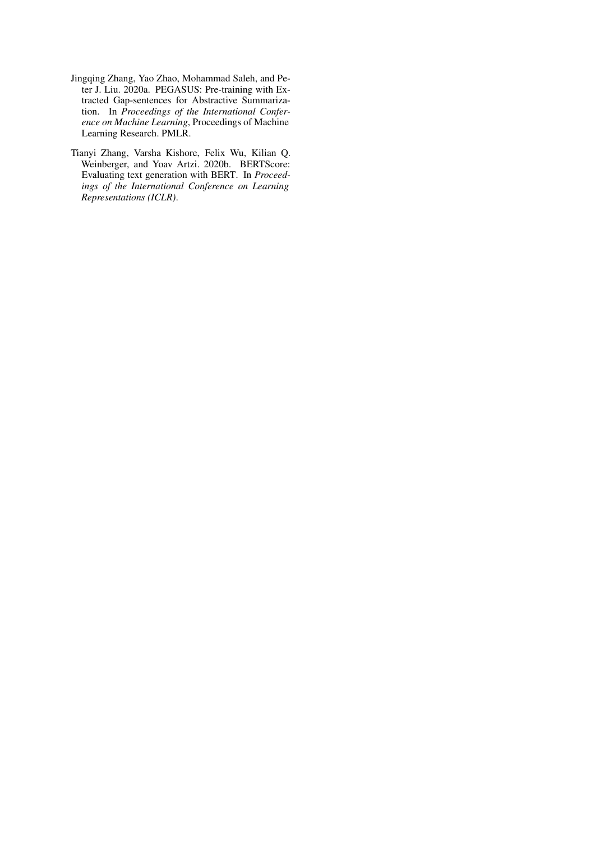- <span id="page-10-0"></span>Jingqing Zhang, Yao Zhao, Mohammad Saleh, and Peter J. Liu. 2020a. PEGASUS: Pre-training with Extracted Gap-sentences for Abstractive Summarization. In *Proceedings of the International Conference on Machine Learning*, Proceedings of Machine Learning Research. PMLR.
- <span id="page-10-1"></span>Tianyi Zhang, Varsha Kishore, Felix Wu, Kilian Q. Weinberger, and Yoav Artzi. 2020b. BERTScore: Evaluating text generation with BERT. In *Proceedings of the International Conference on Learning Representations (ICLR)*.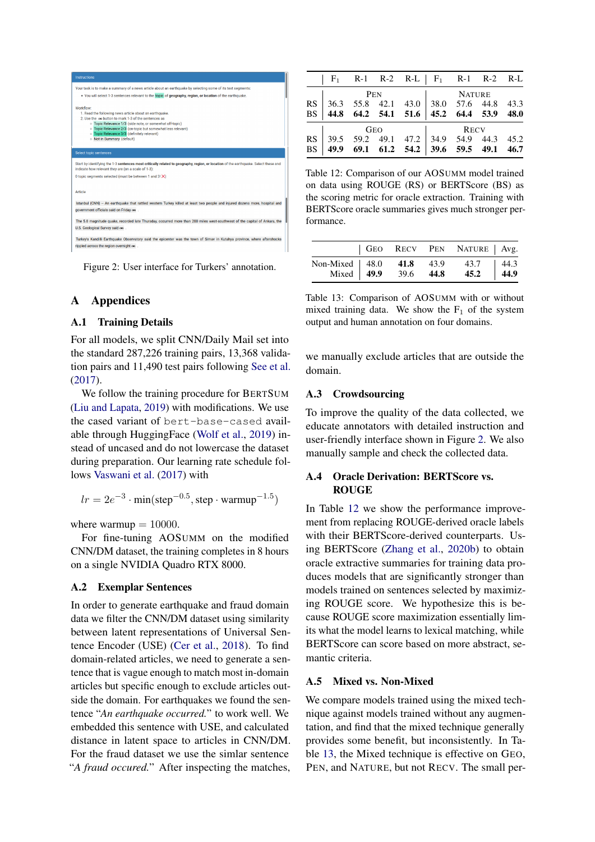<span id="page-11-2"></span>

Figure 2: User interface for Turkers' annotation.

## A Appendices

#### A.1 Training Details

For all models, we split CNN/Daily Mail set into the standard 287,226 training pairs, 13,368 validation pairs and 11,490 test pairs following [See et al.](#page-9-0) [\(2017\)](#page-9-0).

We follow the training procedure for BERTSUM [\(Liu and Lapata,](#page-9-1) [2019\)](#page-9-1) with modifications. We use the cased variant of bert-base-cased available through HuggingFace [\(Wolf et al.,](#page-9-16) [2019\)](#page-9-16) instead of uncased and do not lowercase the dataset during preparation. Our learning rate schedule follows [Vaswani et al.](#page-9-17) [\(2017\)](#page-9-17) with

$$
lr = 2e^{-3} \cdot min(\text{step}^{-0.5}, \text{step} \cdot \text{warmup}^{-1.5})
$$

where warmup  $= 10000$ .

For fine-tuning AOSUMM on the modified CNN/DM dataset, the training completes in 8 hours on a single NVIDIA Quadro RTX 8000.

## <span id="page-11-0"></span>A.2 Exemplar Sentences

In order to generate earthquake and fraud domain data we filter the CNN/DM dataset using similarity between latent representations of Universal Sentence Encoder (USE) [\(Cer et al.,](#page-8-13) [2018\)](#page-8-13). To find domain-related articles, we need to generate a sentence that is vague enough to match most in-domain articles but specific enough to exclude articles outside the domain. For earthquakes we found the sentence "*An earthquake occurred.*" to work well. We embedded this sentence with USE, and calculated distance in latent space to articles in CNN/DM. For the fraud dataset we use the simlar sentence "*A fraud occured.*" After inspecting the matches,

<span id="page-11-1"></span>

| $F_1$ R-1 R-2 R-L $F_1$ R-1 R-2 R-L                                                      |     |     |  |               |  |
|------------------------------------------------------------------------------------------|-----|-----|--|---------------|--|
|                                                                                          | PEN |     |  | <b>NATURE</b> |  |
|                                                                                          |     |     |  |               |  |
| RS 36.3 55.8 42.1 43.0 38.0 57.6 44.8 43.3<br>BS 44.8 64.2 54.1 51.6 45.2 64.4 53.9 48.0 |     |     |  |               |  |
|                                                                                          |     | GEO |  | <b>RECV</b>   |  |
|                                                                                          |     |     |  |               |  |
| RS 39.5 59.2 49.1 47.2 34.9 54.9 44.3 45.2<br>BS 49.9 69.1 61.2 54.2 39.6 59.5 49.1 46.7 |     |     |  |               |  |

Table 12: Comparison of our AOSUMM model trained on data using ROUGE (RS) or BERTScore (BS) as the scoring metric for oracle extraction. Training with BERTScore oracle summaries gives much stronger performance.

<span id="page-11-3"></span>

|                                                            |  | GEO RECV PEN NATURE   Avg. |                                                          |
|------------------------------------------------------------|--|----------------------------|----------------------------------------------------------|
| Non-Mixed 48.0 41.8 43.9 43.7<br>Mixed 49.9 39.6 44.8 45.2 |  |                            | $\begin{array}{ c c } \hline 44.3 \\ \hline \end{array}$ |

Table 13: Comparison of AOSUMM with or without mixed training data. We show the  $F_1$  of the system output and human annotation on four domains.

we manually exclude articles that are outside the domain.

## A.3 Crowdsourcing

To improve the quality of the data collected, we educate annotators with detailed instruction and user-friendly interface shown in Figure [2.](#page-11-2) We also manually sample and check the collected data.

## A.4 Oracle Derivation: BERTScore vs. ROUGE

In Table [12](#page-11-1) we show the performance improvement from replacing ROUGE-derived oracle labels with their BERTScore-derived counterparts. Using BERTScore [\(Zhang et al.,](#page-10-1) [2020b\)](#page-10-1) to obtain oracle extractive summaries for training data produces models that are significantly stronger than models trained on sentences selected by maximizing ROUGE score. We hypothesize this is because ROUGE score maximization essentially limits what the model learns to lexical matching, while BERTScore can score based on more abstract, semantic criteria.

#### A.5 Mixed vs. Non-Mixed

We compare models trained using the mixed technique against models trained without any augmentation, and find that the mixed technique generally provides some benefit, but inconsistently. In Table [13,](#page-11-3) the Mixed technique is effective on GEO, PEN, and NATURE, but not RECV. The small per